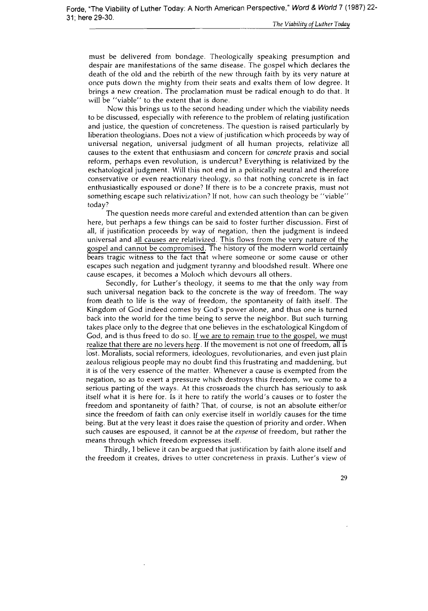must be delivered from bondage. Theologically speaking presumption and despair are manifestations of the same disease. The gospel which declares the death of the old and the rebirth of the new through faith by its very nature at once puts down the mighty from their seats and exalts them of low degree. It brings a new creation. The proclamation must be radical enough to do that. It will be "viable" to the extent that is done.

Now this brings us to the second heading under which the viability needs to be discussed, especially with reference to the problem of relating justification and justice, the question of concreteness. The question is raised particularly by liberation theologians. Does not a view of justification which proceeds by way of universal negation, universal judgment of all human projects, relativize all causes to the extent that enthusiasm and concern for *concrete* praxis and social reform, perhaps even revolution, is undercut? Everything is relativized by the eschatological judgment. Will this not end in a politically neutral and therefore conservative or even reactionary theology, so that nothing concrete is in fact enthusiastically espoused or done? If there is to be a concrete praxis, must not something escape such relativization? If not, how can such theology be "viable" today?

The question needs more careful and extended attention than can be given here, but perhaps a few things can be said to foster further discussion. First of all, if justification proceeds by way of negation, then the judgment is indeed universal and all causes are relativized. This flows from the very nature of the gospel and cannot be compromised. The history of the modern world certainly bears tragic witness to the fact that where someone or some cause or other escapes such negation and judgment tyranny and bloodshed result. Where one cause escapes, it becomes a Moloch which devours all others.

Secondly, for Luther's theology, it seems to me that the only way from such universal negation back to the concrete is the way of freedom. The way from death to life is the way of freedom, the spontaneity of faith itself. The Kingdom of God indeed comes by God's power alone, and thus one is turned back into the world for the time being to serve the neighbor. But such turning takes place only to the degree that one believes in the eschatological Kingdom of God, and is thus freed to do so. If we are to remain true to the gospel, we must realize that there are no levers here. If the movement is not one of freedom, all is lost. Moralists, social reformers, ideologues, revolutionaries, and even just plain zealous religious people may no doubt find this frustrating and maddening, but it is of the very essence of the matter. Whenever a cause is exempted from the negation, so as to exert a pressure which destroys this freedom, we come to a serious parting of the ways. At this crossroads the church has seriously to ask itself what it is here for. Is it here to ratify the world's causes or to foster the freedom and spontaneity of faith? That, of course, is not an absolute either/or since the freedom of faith can only exercise itself in worldly causes for the time being. But at the very least it does raise the question of priority and order. When such causes are espoused, it cannot be at the *expense* of freedom, but rather the means through which freedom expresses itself.

Thirdly, I believe it can be argued that justification by faith alone itself and the freedom it creates, drives to utter concreteness in praxis. Luther's view of

29